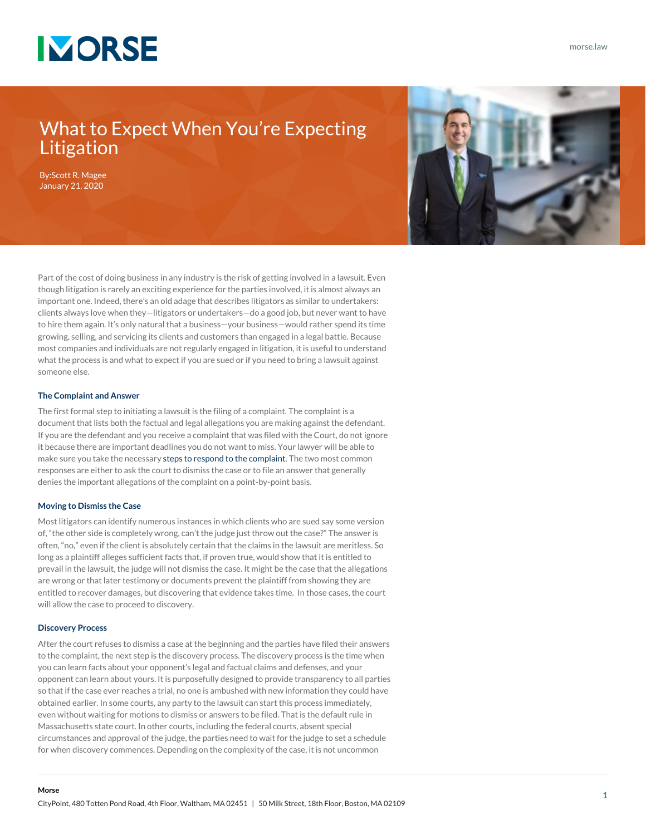

### What to Expect When You're Expecting Litigation

By:[Scott R. Magee](https://www.morse.law/attorney/scott-magee/) January 21, 2020



Part of the cost of doing business in any industry is the risk of getting involved in a lawsuit. Even though litigation is rarely an exciting experience for the parties involved, it is almost always an important one. Indeed, there's an old adage that describes litigators as similar to undertakers: clients always love when they—litigators or undertakers—do a good job, but never want to have to hire them again. It's only natural that a business—your business—would rather spend its time growing, selling, and servicing its clients and customers than engaged in a legal battle. Because most companies and individuals are not regularly engaged in litigation, it is useful to understand what the process is and what to expect if you are sued or if you need to bring a lawsuit against someone else.

### **The Complaint and Answer**

The first formal step to initiating a lawsuit is the filing of a complaint. The complaint is a document that lists both the factual and legal allegations you are making against the defendant. If you are the defendant and you receive a complaint that was filed with the Court, do not ignore it because there are important deadlines you do not want to miss. Your lawyer will be able to make sure you take the necessary [steps to respond to the complaint.](https://www.morse.law/news/top-13-tips-in-responding-to-a-complaint) The two most common responses are either to ask the court to dismiss the case or to file an answer that generally denies the important allegations of the complaint on a point-by-point basis.

#### **Moving to Dismiss the Case**

Most litigators can identify numerous instances in which clients who are sued say some version of, "the other side is completely wrong, can't the judge just throw out the case?" The answer is often, "no," even if the client is absolutely certain that the claims in the lawsuit are meritless. So long as a plaintiff alleges sufficient facts that, if proven true, would show that it is entitled to prevail in the lawsuit, the judge will not dismiss the case. It might be the case that the allegations are wrong or that later testimony or documents prevent the plaintiff from showing they are entitled to recover damages, but discovering that evidence takes time. In those cases, the court will allow the case to proceed to discovery.

### **Discovery Process**

After the court refuses to dismiss a case at the beginning and the parties have filed their answers to the complaint, the next step is the discovery process. The discovery process is the time when you can learn facts about your opponent's legal and factual claims and defenses, and your opponent can learn about yours. It is purposefully designed to provide transparency to all parties so that if the case ever reaches a trial, no one is ambushed with new information they could have obtained earlier. In some courts, any party to the lawsuit can start this process immediately, even without waiting for motions to dismiss or answers to be filed. That is the default rule in Massachusetts state court. In other courts, including the federal courts, absent special circumstances and approval of the judge, the parties need to wait for the judge to set a schedule for when discovery commences. Depending on the complexity of the case, it is not uncommon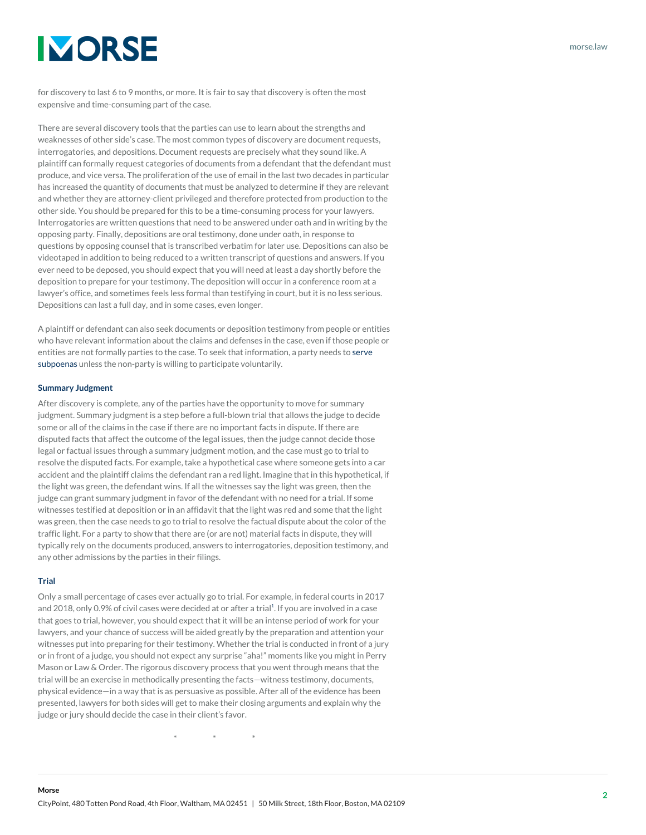# **IMORSE**

for discovery to last 6 to 9 months, or more. It is fair to say that discovery is often the most expensive and time-consuming part of the case.

There are several discovery tools that the parties can use to learn about the strengths and weaknesses of other side's case. The most common types of discovery are document requests, interrogatories, and depositions. Document requests are precisely what they sound like. A plaintiff can formally request categories of documents from a defendant that the defendant must produce, and vice versa. The proliferation of the use of email in the last two decades in particular has increased the quantity of documents that must be analyzed to determine if they are relevant and whether they are attorney-client privileged and therefore protected from production to the other side. You should be prepared for this to be a time-consuming process for your lawyers. Interrogatories are written questions that need to be answered under oath and in writing by the opposing party. Finally, depositions are oral testimony, done under oath, in response to questions by opposing counsel that is transcribed verbatim for later use. Depositions can also be videotaped in addition to being reduced to a written transcript of questions and answers. If you ever need to be deposed, you should expect that you will need at least a day shortly before the deposition to prepare for your testimony. The deposition will occur in a conference room at a lawyer's office, and sometimes feels less formal than testifying in court, but it is no less serious. Depositions can last a full day, and in some cases, even longer.

A plaintiff or defendant can also seek documents or deposition testimony from people or entities who have relevant information about the claims and defenses in the case, even if those people or entities are not formally parties to the case. To seek that information, a party needs to [serve](https://www.morse.law/news/top-11-tips-in-responding-to-a-subpoena) [subpoenas](https://www.morse.law/news/top-11-tips-in-responding-to-a-subpoena) unless the non-party is willing to participate voluntarily.

### **Summary Judgment**

After discovery is complete, any of the parties have the opportunity to move for summary judgment. Summary judgment is a step before a full-blown trial that allows the judge to decide some or all of the claims in the case if there are no important facts in dispute. If there are disputed facts that affect the outcome of the legal issues, then the judge cannot decide those legal or factual issues through a summary judgment motion, and the case must go to trial to resolve the disputed facts. For example, take a hypothetical case where someone gets into a car accident and the plaintiff claims the defendant ran a red light. Imagine that in this hypothetical, if the light was green, the defendant wins. If all the witnesses say the light was green, then the judge can grant summary judgment in favor of the defendant with no need for a trial. If some witnesses testified at deposition or in an affidavit that the light was red and some that the light was green, then the case needs to go to trial to resolve the factual dispute about the color of the traffic light. For a party to show that there are (or are not) material facts in dispute, they will typically rely on the documents produced, answers to interrogatories, deposition testimony, and any other admissions by the parties in their filings.

### **Trial**

Only a small percentage of cases ever actually go to trial. For example, in federal courts in 2017 and 20[1](#page--1-0)8, only 0.9% of civil cases were decided at or after a trial<sup>1</sup>. If you are involved in a case that goes to trial, however, you should expect that it will be an intense period of work for your lawyers, and your chance of success will be aided greatly by the preparation and attention your witnesses put into preparing for their testimony. Whether the trial is conducted in front of a jury or in front of a judge, you should not expect any surprise "aha!" moments like you might in Perry Mason or Law & Order. The rigorous discovery process that you went through means that the trial will be an exercise in methodically presenting the facts—witness testimony, documents, physical evidence—in a way that is as persuasive as possible. After all of the evidence has been presented, lawyers for both sides will get to make their closing arguments and explain why the judge or jury should decide the case in their client's favor.

 $*$   $*$   $*$ 

[morse.law](https://www.morse.law/)